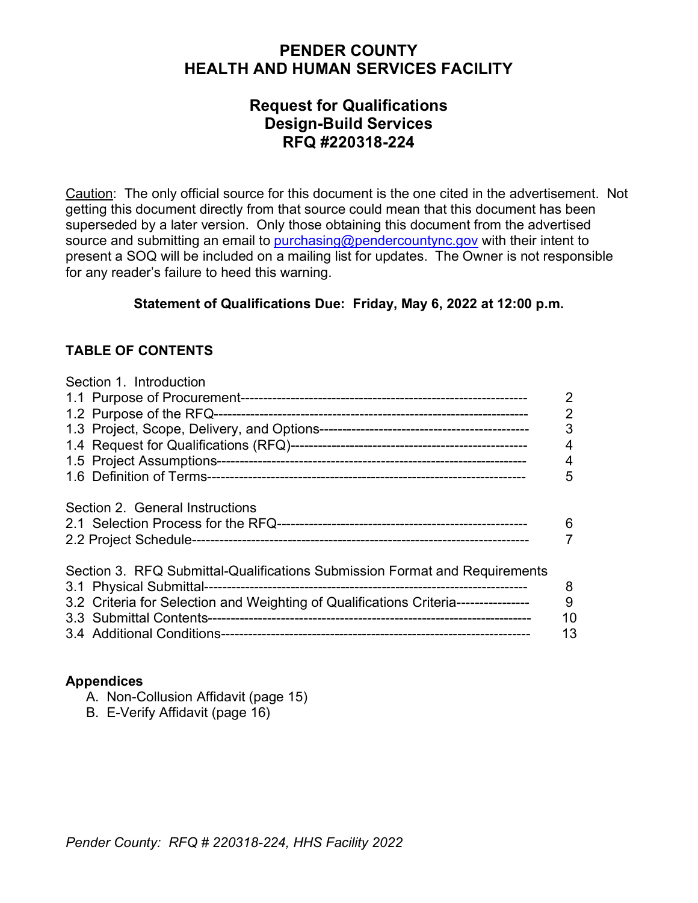# **PENDER COUNTY HEALTH AND HUMAN SERVICES FACILITY**

# **Request for Qualifications Design-Build Services RFQ #220318-224**

Caution: The only official source for this document is the one cited in the advertisement. Not getting this document directly from that source could mean that this document has been superseded by a later version. Only those obtaining this document from the advertised source and submitting an email to [purchasing@pendercountync.gov](mailto:purchasing@pendercountync.gov) with their intent to present a SOQ will be included on a mailing list for updates. The Owner is not responsible for any reader's failure to heed this warning.

### **Statement of Qualifications Due: Friday, May 6, 2022 at 12:00 p.m.**

### **TABLE OF CONTENTS**

| Section 1 Introduction                                                                                                                                           | 2<br>$\overline{2}$<br>3<br>4<br>4<br>5 |
|------------------------------------------------------------------------------------------------------------------------------------------------------------------|-----------------------------------------|
| Section 2. General Instructions                                                                                                                                  | 6                                       |
| Section 3. RFQ Submittal-Qualifications Submission Format and Requirements<br>3.2 Criteria for Selection and Weighting of Qualifications Criteria--------------- | 8<br>9<br>10<br>13                      |

#### **Appendices**

- A. Non-Collusion Affidavit (page 15)
- B. E-Verify Affidavit (page 16)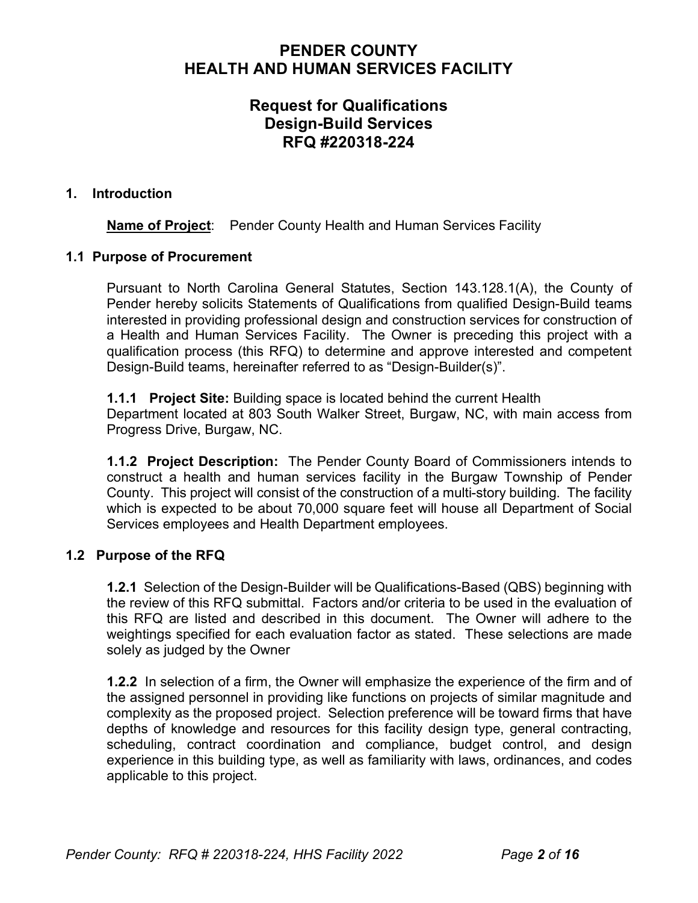# **PENDER COUNTY HEALTH AND HUMAN SERVICES FACILITY**

# **Request for Qualifications Design-Build Services RFQ #220318-224**

#### **1. Introduction**

**Name of Project:** Pender County Health and Human Services Facility

#### **1.1 Purpose of Procurement**

Pursuant to North Carolina General Statutes, Section 143.128.1(A), the County of Pender hereby solicits Statements of Qualifications from qualified Design-Build teams interested in providing professional design and construction services for construction of a Health and Human Services Facility. The Owner is preceding this project with a qualification process (this RFQ) to determine and approve interested and competent Design-Build teams, hereinafter referred to as "Design-Builder(s)".

**1.1.1 Project Site:** Building space is located behind the current Health Department located at 803 South Walker Street, Burgaw, NC, with main access from Progress Drive, Burgaw, NC.

**1.1.2 Project Description:** The Pender County Board of Commissioners intends to construct a health and human services facility in the Burgaw Township of Pender County. This project will consist of the construction of a multi-story building. The facility which is expected to be about 70,000 square feet will house all Department of Social Services employees and Health Department employees.

#### **1.2 Purpose of the RFQ**

**1.2.1** Selection of the Design-Builder will be Qualifications-Based (QBS) beginning with the review of this RFQ submittal. Factors and/or criteria to be used in the evaluation of this RFQ are listed and described in this document. The Owner will adhere to the weightings specified for each evaluation factor as stated. These selections are made solely as judged by the Owner

**1.2.2** In selection of a firm, the Owner will emphasize the experience of the firm and of the assigned personnel in providing like functions on projects of similar magnitude and complexity as the proposed project. Selection preference will be toward firms that have depths of knowledge and resources for this facility design type, general contracting, scheduling, contract coordination and compliance, budget control, and design experience in this building type, as well as familiarity with laws, ordinances, and codes applicable to this project.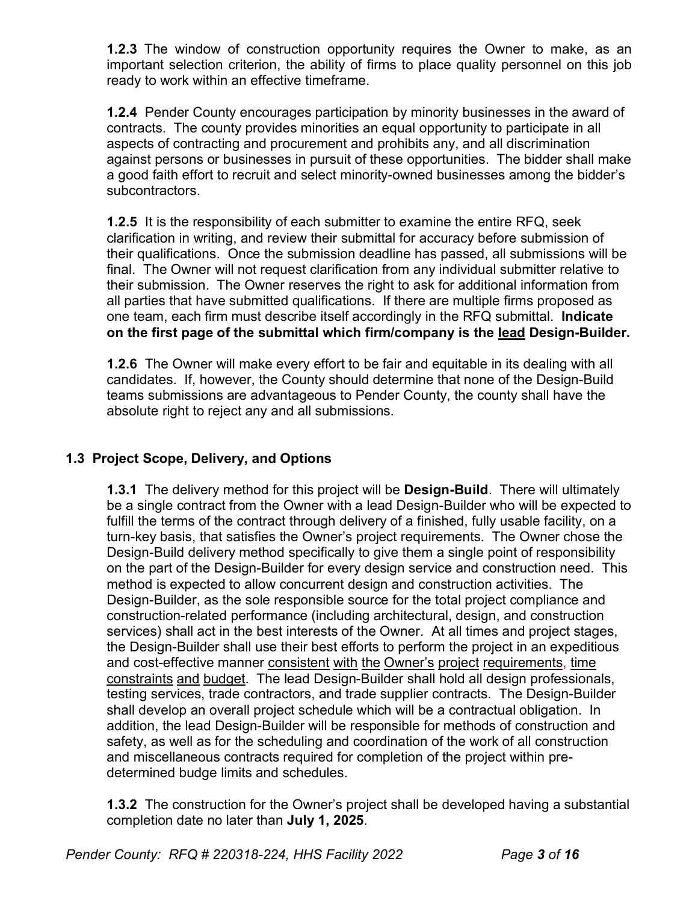**1.2.3** The window of construction opportunity requires the Owner to make, as an important selection criterion, the ability of firms to place quality personnel on this job ready to work within an effective timeframe.

**1.2.4** Pender County encourages participation by minority businesses in the award of contracts. The county provides minorities an equal opportunity to participate in all aspects of contracting and procurement and prohibits any, and all discrimination against persons or businesses in pursuit of these opportunities. The bidder shall make a good faith effort to recruit and select minority-owned businesses among the bidder's subcontractors.

**1.2.5** It is the responsibility of each submitter to examine the entire RFQ, seek clarification in writing, and review their submittal for accuracy before submission of their qualifications. Once the submission deadline has passed, all submissions will be final. The Owner will not request clarification from any individual submitter relative to their submission. The Owner reserves the right to ask for additional information from all parties that have submitted qualifications. If there are multiple firms proposed as one team, each firm must describe itself accordingly in the RFQ submittal. **Indicate on the first page of the submittal which firm/company is the lead Design-Builder.**

**1.2.6** The Owner will make every effort to be fair and equitable in its dealing with all candidates. If, however, the County should determine that none of the Design-Build teams submissions are advantageous to Pender County, the county shall have the absolute right to reject any and all submissions.

# **1.3 Project Scope, Delivery, and Options**

**1.3.1** The delivery method for this project will be **Design-Build**. There will ultimately be a single contract from the Owner with a lead Design-Builder who will be expected to fulfill the terms of the contract through delivery of a finished, fully usable facility, on a turn-key basis, that satisfies the Owner's project requirements. The Owner chose the Design-Build delivery method specifically to give them a single point of responsibility on the part of the Design-Builder for every design service and construction need. This method is expected to allow concurrent design and construction activities. The Design-Builder, as the sole responsible source for the total project compliance and construction-related performance (including architectural, design, and construction services) shall act in the best interests of the Owner. At all times and project stages, the Design-Builder shall use their best efforts to perform the project in an expeditious and cost-effective manner consistent with the Owner's project requirements, time constraints and budget. The lead Design-Builder shall hold all design professionals, testing services, trade contractors, and trade supplier contracts. The Design-Builder shall develop an overall project schedule which will be a contractual obligation. In addition, the lead Design-Builder will be responsible for methods of construction and safety, as well as for the scheduling and coordination of the work of all construction and miscellaneous contracts required for completion of the project within predetermined budge limits and schedules.

**1.3.2** The construction for the Owner's project shall be developed having a substantial completion date no later than **July 1, 2025**.

*Pender County: RFQ # 220318-224, HHS Facility 2022 Page 3 of 16*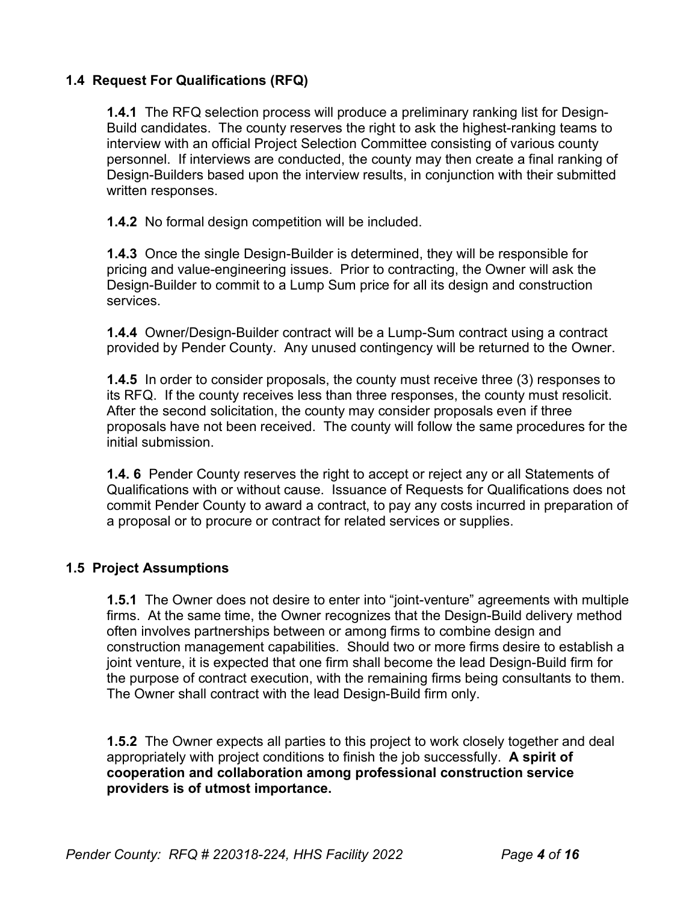## **1.4 Request For Qualifications (RFQ)**

**1.4.1** The RFQ selection process will produce a preliminary ranking list for Design-Build candidates. The county reserves the right to ask the highest-ranking teams to interview with an official Project Selection Committee consisting of various county personnel. If interviews are conducted, the county may then create a final ranking of Design-Builders based upon the interview results, in conjunction with their submitted written responses.

**1.4.2** No formal design competition will be included.

**1.4.3** Once the single Design-Builder is determined, they will be responsible for pricing and value-engineering issues. Prior to contracting, the Owner will ask the Design-Builder to commit to a Lump Sum price for all its design and construction services.

**1.4.4** Owner/Design-Builder contract will be a Lump-Sum contract using a contract provided by Pender County. Any unused contingency will be returned to the Owner.

**1.4.5** In order to consider proposals, the county must receive three (3) responses to its RFQ. If the county receives less than three responses, the county must resolicit. After the second solicitation, the county may consider proposals even if three proposals have not been received. The county will follow the same procedures for the initial submission.

**1.4. 6** Pender County reserves the right to accept or reject any or all Statements of Qualifications with or without cause. Issuance of Requests for Qualifications does not commit Pender County to award a contract, to pay any costs incurred in preparation of a proposal or to procure or contract for related services or supplies.

#### **1.5 Project Assumptions**

**1.5.1** The Owner does not desire to enter into "joint-venture" agreements with multiple firms. At the same time, the Owner recognizes that the Design-Build delivery method often involves partnerships between or among firms to combine design and construction management capabilities. Should two or more firms desire to establish a joint venture, it is expected that one firm shall become the lead Design-Build firm for the purpose of contract execution, with the remaining firms being consultants to them. The Owner shall contract with the lead Design-Build firm only.

**1.5.2** The Owner expects all parties to this project to work closely together and deal appropriately with project conditions to finish the job successfully. **A spirit of cooperation and collaboration among professional construction service providers is of utmost importance.**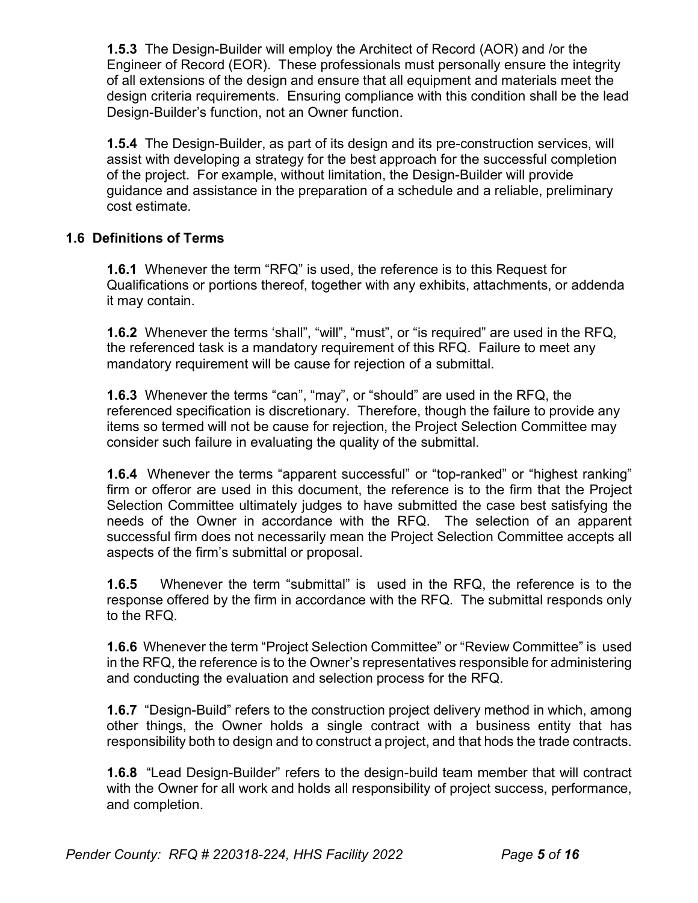**1.5.3** The Design-Builder will employ the Architect of Record (AOR) and /or the Engineer of Record (EOR). These professionals must personally ensure the integrity of all extensions of the design and ensure that all equipment and materials meet the design criteria requirements. Ensuring compliance with this condition shall be the lead Design-Builder's function, not an Owner function.

**1.5.4** The Design-Builder, as part of its design and its pre-construction services, will assist with developing a strategy for the best approach for the successful completion of the project. For example, without limitation, the Design-Builder will provide guidance and assistance in the preparation of a schedule and a reliable, preliminary cost estimate.

## **1.6 Definitions of Terms**

**1.6.1** Whenever the term "RFQ" is used, the reference is to this Request for Qualifications or portions thereof, together with any exhibits, attachments, or addenda it may contain.

**1.6.2** Whenever the terms 'shall", "will", "must", or "is required" are used in the RFQ, the referenced task is a mandatory requirement of this RFQ. Failure to meet any mandatory requirement will be cause for rejection of a submittal.

**1.6.3** Whenever the terms "can", "may", or "should" are used in the RFQ, the referenced specification is discretionary. Therefore, though the failure to provide any items so termed will not be cause for rejection, the Project Selection Committee may consider such failure in evaluating the quality of the submittal.

**1.6.4** Whenever the terms "apparent successful" or "top-ranked" or "highest ranking" firm or offeror are used in this document, the reference is to the firm that the Project Selection Committee ultimately judges to have submitted the case best satisfying the needs of the Owner in accordance with the RFQ. The selection of an apparent successful firm does not necessarily mean the Project Selection Committee accepts all aspects of the firm's submittal or proposal.

**1.6.5** Whenever the term "submittal" is used in the RFQ, the reference is to the response offered by the firm in accordance with the RFQ. The submittal responds only to the RFQ.

**1.6.6** Whenever the term "Project Selection Committee" or "Review Committee" is used in the RFQ, the reference is to the Owner's representatives responsible for administering and conducting the evaluation and selection process for the RFQ.

**1.6.7** "Design-Build" refers to the construction project delivery method in which, among other things, the Owner holds a single contract with a business entity that has responsibility both to design and to construct a project, and that hods the trade contracts.

**1.6.8** "Lead Design-Builder" refers to the design-build team member that will contract with the Owner for all work and holds all responsibility of project success, performance, and completion.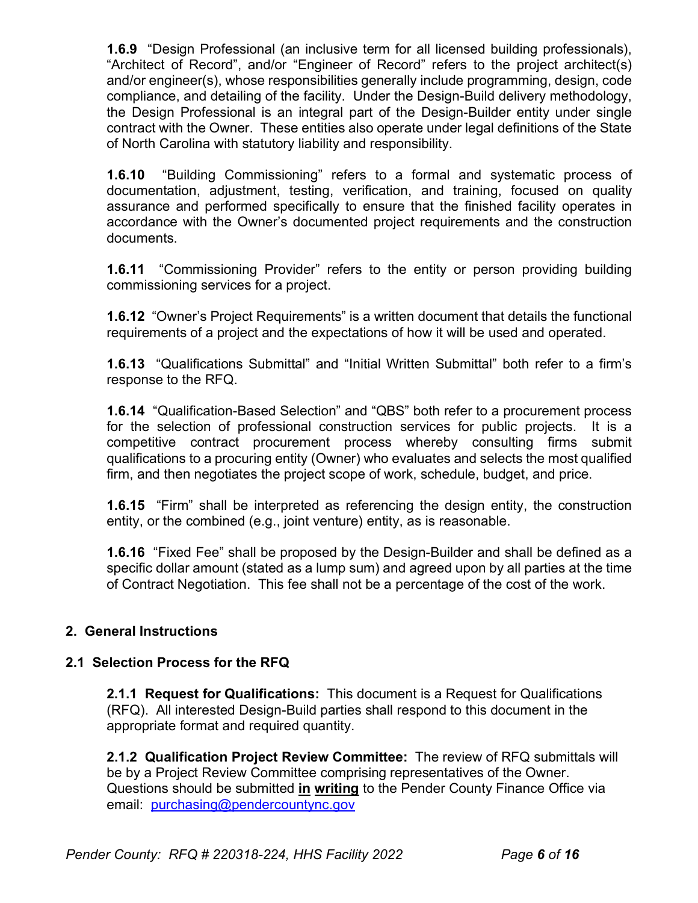**1.6.9** "Design Professional (an inclusive term for all licensed building professionals), "Architect of Record", and/or "Engineer of Record" refers to the project architect(s) and/or engineer(s), whose responsibilities generally include programming, design, code compliance, and detailing of the facility. Under the Design-Build delivery methodology, the Design Professional is an integral part of the Design-Builder entity under single contract with the Owner. These entities also operate under legal definitions of the State of North Carolina with statutory liability and responsibility.

**1.6.10** "Building Commissioning" refers to a formal and systematic process of documentation, adjustment, testing, verification, and training, focused on quality assurance and performed specifically to ensure that the finished facility operates in accordance with the Owner's documented project requirements and the construction documents.

**1.6.11** "Commissioning Provider" refers to the entity or person providing building commissioning services for a project.

**1.6.12** "Owner's Project Requirements" is a written document that details the functional requirements of a project and the expectations of how it will be used and operated.

**1.6.13** "Qualifications Submittal" and "Initial Written Submittal" both refer to a firm's response to the RFQ.

**1.6.14** "Qualification-Based Selection" and "QBS" both refer to a procurement process for the selection of professional construction services for public projects. It is a competitive contract procurement process whereby consulting firms submit qualifications to a procuring entity (Owner) who evaluates and selects the most qualified firm, and then negotiates the project scope of work, schedule, budget, and price.

**1.6.15** "Firm" shall be interpreted as referencing the design entity, the construction entity, or the combined (e.g., joint venture) entity, as is reasonable.

**1.6.16** "Fixed Fee" shall be proposed by the Design-Builder and shall be defined as a specific dollar amount (stated as a lump sum) and agreed upon by all parties at the time of Contract Negotiation. This fee shall not be a percentage of the cost of the work.

## **2. General Instructions**

## **2.1 Selection Process for the RFQ**

**2.1.1 Request for Qualifications:** This document is a Request for Qualifications (RFQ). All interested Design-Build parties shall respond to this document in the appropriate format and required quantity.

**2.1.2 Qualification Project Review Committee:** The review of RFQ submittals will be by a Project Review Committee comprising representatives of the Owner. Questions should be submitted **in writing** to the Pender County Finance Office via email: [purchasing@pendercountync.gov](mailto:purchasing@pendercountync.gov)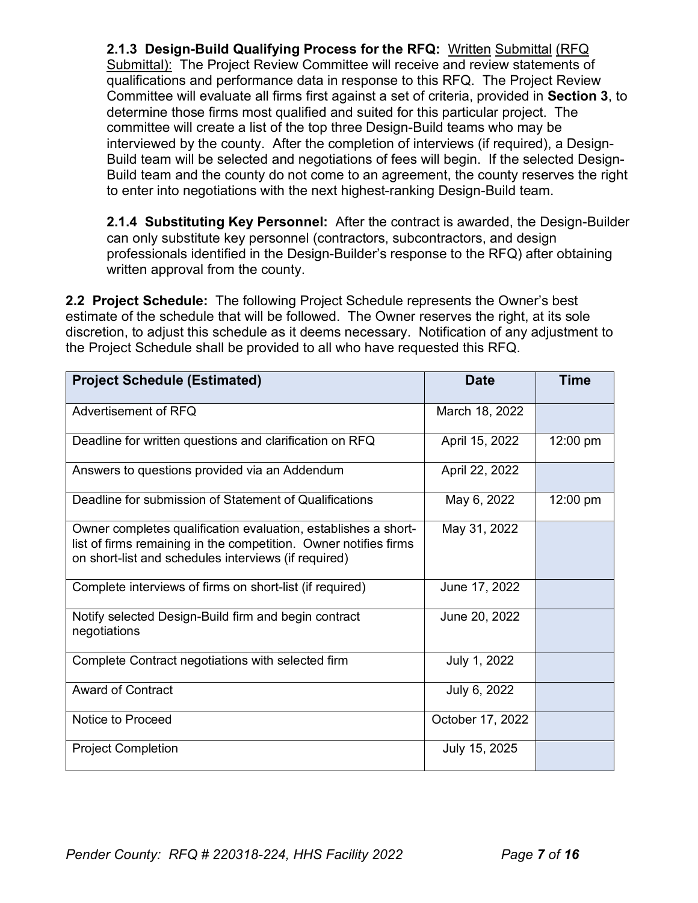**2.1.3 Design-Build Qualifying Process for the RFQ:** Written Submittal (RFQ Submittal): The Project Review Committee will receive and review statements of qualifications and performance data in response to this RFQ. The Project Review Committee will evaluate all firms first against a set of criteria, provided in **Section 3**, to determine those firms most qualified and suited for this particular project. The committee will create a list of the top three Design-Build teams who may be interviewed by the county. After the completion of interviews (if required), a Design-Build team will be selected and negotiations of fees will begin. If the selected Design-Build team and the county do not come to an agreement, the county reserves the right to enter into negotiations with the next highest-ranking Design-Build team.

**2.1.4 Substituting Key Personnel:** After the contract is awarded, the Design-Builder can only substitute key personnel (contractors, subcontractors, and design professionals identified in the Design-Builder's response to the RFQ) after obtaining written approval from the county.

**2.2 Project Schedule:** The following Project Schedule represents the Owner's best estimate of the schedule that will be followed. The Owner reserves the right, at its sole discretion, to adjust this schedule as it deems necessary. Notification of any adjustment to the Project Schedule shall be provided to all who have requested this RFQ.

| <b>Project Schedule (Estimated)</b>                                                                                                                                                        | <b>Date</b>      | <b>Time</b> |
|--------------------------------------------------------------------------------------------------------------------------------------------------------------------------------------------|------------------|-------------|
| Advertisement of RFQ                                                                                                                                                                       | March 18, 2022   |             |
| Deadline for written questions and clarification on RFQ                                                                                                                                    | April 15, 2022   | 12:00 pm    |
| Answers to questions provided via an Addendum                                                                                                                                              | April 22, 2022   |             |
| Deadline for submission of Statement of Qualifications                                                                                                                                     | May 6, 2022      | 12:00 pm    |
| Owner completes qualification evaluation, establishes a short-<br>list of firms remaining in the competition. Owner notifies firms<br>on short-list and schedules interviews (if required) | May 31, 2022     |             |
| Complete interviews of firms on short-list (if required)                                                                                                                                   | June 17, 2022    |             |
| Notify selected Design-Build firm and begin contract<br>negotiations                                                                                                                       | June 20, 2022    |             |
| Complete Contract negotiations with selected firm                                                                                                                                          | July 1, 2022     |             |
| <b>Award of Contract</b>                                                                                                                                                                   | July 6, 2022     |             |
| Notice to Proceed                                                                                                                                                                          | October 17, 2022 |             |
| <b>Project Completion</b>                                                                                                                                                                  | July 15, 2025    |             |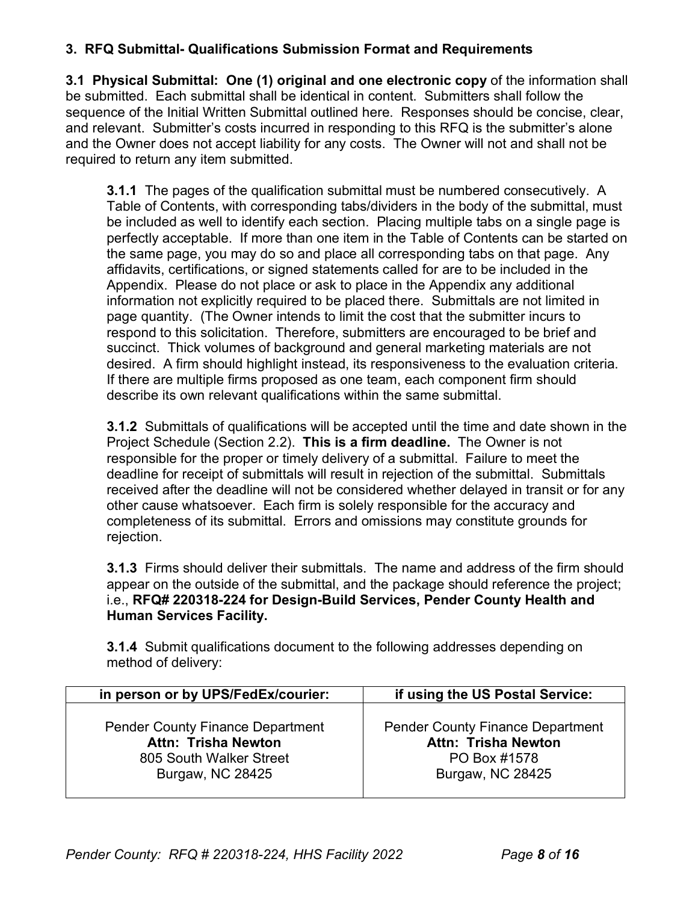# **3. RFQ Submittal- Qualifications Submission Format and Requirements**

**3.1 Physical Submittal: One (1) original and one electronic copy** of the information shall be submitted. Each submittal shall be identical in content. Submitters shall follow the sequence of the Initial Written Submittal outlined here. Responses should be concise, clear, and relevant. Submitter's costs incurred in responding to this RFQ is the submitter's alone and the Owner does not accept liability for any costs. The Owner will not and shall not be required to return any item submitted.

**3.1.1** The pages of the qualification submittal must be numbered consecutively. A Table of Contents, with corresponding tabs/dividers in the body of the submittal, must be included as well to identify each section. Placing multiple tabs on a single page is perfectly acceptable. If more than one item in the Table of Contents can be started on the same page, you may do so and place all corresponding tabs on that page. Any affidavits, certifications, or signed statements called for are to be included in the Appendix. Please do not place or ask to place in the Appendix any additional information not explicitly required to be placed there. Submittals are not limited in page quantity. (The Owner intends to limit the cost that the submitter incurs to respond to this solicitation. Therefore, submitters are encouraged to be brief and succinct. Thick volumes of background and general marketing materials are not desired. A firm should highlight instead, its responsiveness to the evaluation criteria. If there are multiple firms proposed as one team, each component firm should describe its own relevant qualifications within the same submittal.

**3.1.2** Submittals of qualifications will be accepted until the time and date shown in the Project Schedule (Section 2.2). **This is a firm deadline.** The Owner is not responsible for the proper or timely delivery of a submittal. Failure to meet the deadline for receipt of submittals will result in rejection of the submittal. Submittals received after the deadline will not be considered whether delayed in transit or for any other cause whatsoever. Each firm is solely responsible for the accuracy and completeness of its submittal. Errors and omissions may constitute grounds for rejection.

**3.1.3** Firms should deliver their submittals. The name and address of the firm should appear on the outside of the submittal, and the package should reference the project; i.e., **RFQ# 220318-224 for Design-Build Services, Pender County Health and Human Services Facility.** 

**3.1.4** Submit qualifications document to the following addresses depending on method of delivery:

| in person or by UPS/FedEx/courier:      | if using the US Postal Service:         |
|-----------------------------------------|-----------------------------------------|
| <b>Pender County Finance Department</b> | <b>Pender County Finance Department</b> |
| <b>Attn: Trisha Newton</b>              | <b>Attn: Trisha Newton</b>              |
| 805 South Walker Street                 | PO Box #1578                            |
| Burgaw, NC 28425                        | Burgaw, NC 28425                        |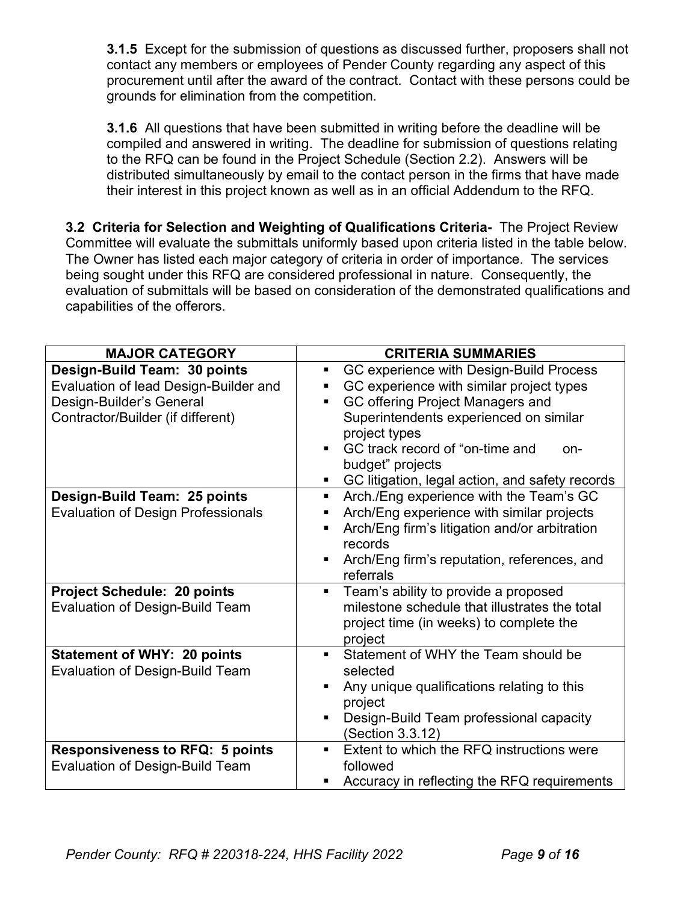**3.1.5** Except for the submission of questions as discussed further, proposers shall not contact any members or employees of Pender County regarding any aspect of this procurement until after the award of the contract. Contact with these persons could be grounds for elimination from the competition.

**3.1.6** All questions that have been submitted in writing before the deadline will be compiled and answered in writing. The deadline for submission of questions relating to the RFQ can be found in the Project Schedule (Section 2.2). Answers will be distributed simultaneously by email to the contact person in the firms that have made their interest in this project known as well as in an official Addendum to the RFQ.

**3.2 Criteria for Selection and Weighting of Qualifications Criteria-** The Project Review Committee will evaluate the submittals uniformly based upon criteria listed in the table below. The Owner has listed each major category of criteria in order of importance. The services being sought under this RFQ are considered professional in nature. Consequently, the evaluation of submittals will be based on consideration of the demonstrated qualifications and capabilities of the offerors.

| <b>MAJOR CATEGORY</b>                                                                                                                  | <b>CRITERIA SUMMARIES</b>                                                                                                                                                                                                                                                                                 |
|----------------------------------------------------------------------------------------------------------------------------------------|-----------------------------------------------------------------------------------------------------------------------------------------------------------------------------------------------------------------------------------------------------------------------------------------------------------|
| Design-Build Team: 30 points<br>Evaluation of lead Design-Builder and<br>Design-Builder's General<br>Contractor/Builder (if different) | GC experience with Design-Build Process<br>Ξ.<br>GC experience with similar project types<br>GC offering Project Managers and<br>Superintendents experienced on similar<br>project types<br>GC track record of "on-time and<br>on-<br>budget" projects<br>GC litigation, legal action, and safety records |
| Design-Build Team: 25 points<br><b>Evaluation of Design Professionals</b>                                                              | Arch./Eng experience with the Team's GC<br>ш<br>Arch/Eng experience with similar projects<br>п<br>Arch/Eng firm's litigation and/or arbitration<br>٠<br>records<br>Arch/Eng firm's reputation, references, and<br>referrals                                                                               |
| <b>Project Schedule: 20 points</b><br><b>Evaluation of Design-Build Team</b>                                                           | Team's ability to provide a proposed<br>milestone schedule that illustrates the total<br>project time (in weeks) to complete the<br>project                                                                                                                                                               |
| <b>Statement of WHY: 20 points</b><br><b>Evaluation of Design-Build Team</b>                                                           | Statement of WHY the Team should be<br>selected<br>Any unique qualifications relating to this<br>project<br>Design-Build Team professional capacity<br>(Section 3.3.12)                                                                                                                                   |
| <b>Responsiveness to RFQ: 5 points</b><br><b>Evaluation of Design-Build Team</b>                                                       | Extent to which the RFQ instructions were<br>٠<br>followed<br>Accuracy in reflecting the RFQ requirements                                                                                                                                                                                                 |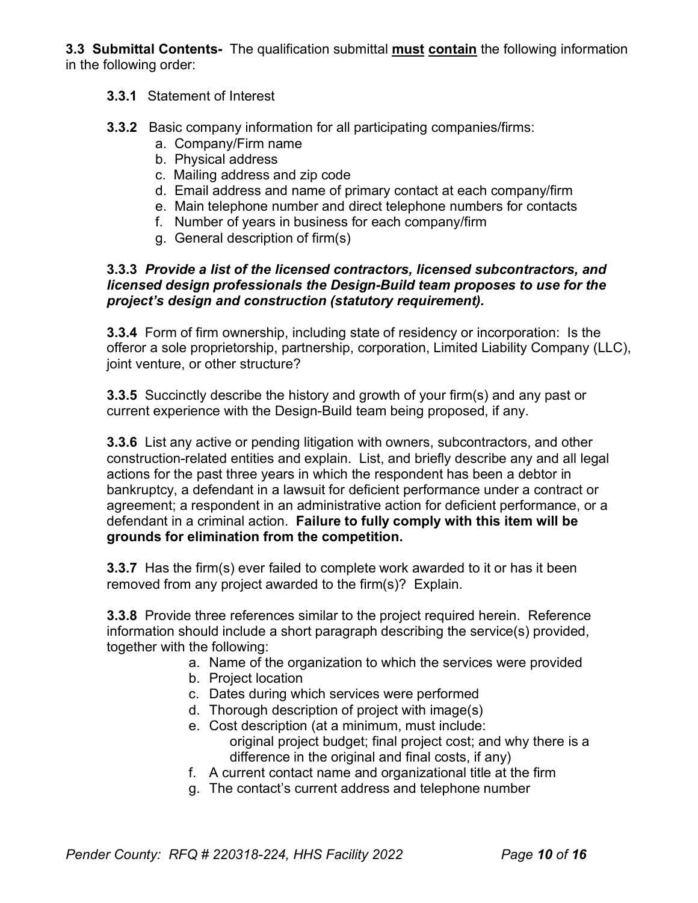**3.3 Submittal Contents-** The qualification submittal **must contain** the following information in the following order:

### **3.3.1** Statement of Interest

- **3.3.2** Basic company information for all participating companies/firms:
	- a. Company/Firm name
	- b. Physical address
	- c. Mailing address and zip code
	- d. Email address and name of primary contact at each company/firm
	- e. Main telephone number and direct telephone numbers for contacts
	- f. Number of years in business for each company/firm
	- g. General description of firm(s)

#### **3.3.3** *Provide a list of the licensed contractors, licensed subcontractors, and licensed design professionals the Design-Build team proposes to use for the project's design and construction (statutory requirement).*

**3.3.4** Form of firm ownership, including state of residency or incorporation: Is the offeror a sole proprietorship, partnership, corporation, Limited Liability Company (LLC), joint venture, or other structure?

**3.3.5** Succinctly describe the history and growth of your firm(s) and any past or current experience with the Design-Build team being proposed, if any.

**3.3.6** List any active or pending litigation with owners, subcontractors, and other construction-related entities and explain. List, and briefly describe any and all legal actions for the past three years in which the respondent has been a debtor in bankruptcy, a defendant in a lawsuit for deficient performance under a contract or agreement; a respondent in an administrative action for deficient performance, or a defendant in a criminal action. **Failure to fully comply with this item will be grounds for elimination from the competition.**

**3.3.7** Has the firm(s) ever failed to complete work awarded to it or has it been removed from any project awarded to the firm(s)? Explain.

**3.3.8** Provide three references similar to the project required herein. Reference information should include a short paragraph describing the service(s) provided, together with the following:

- a. Name of the organization to which the services were provided
- b. Project location
- c. Dates during which services were performed
- d. Thorough description of project with image(s)
- e. Cost description (at a minimum, must include: original project budget; final project cost; and why there is a difference in the original and final costs, if any)
- f. A current contact name and organizational title at the firm
- g. The contact's current address and telephone number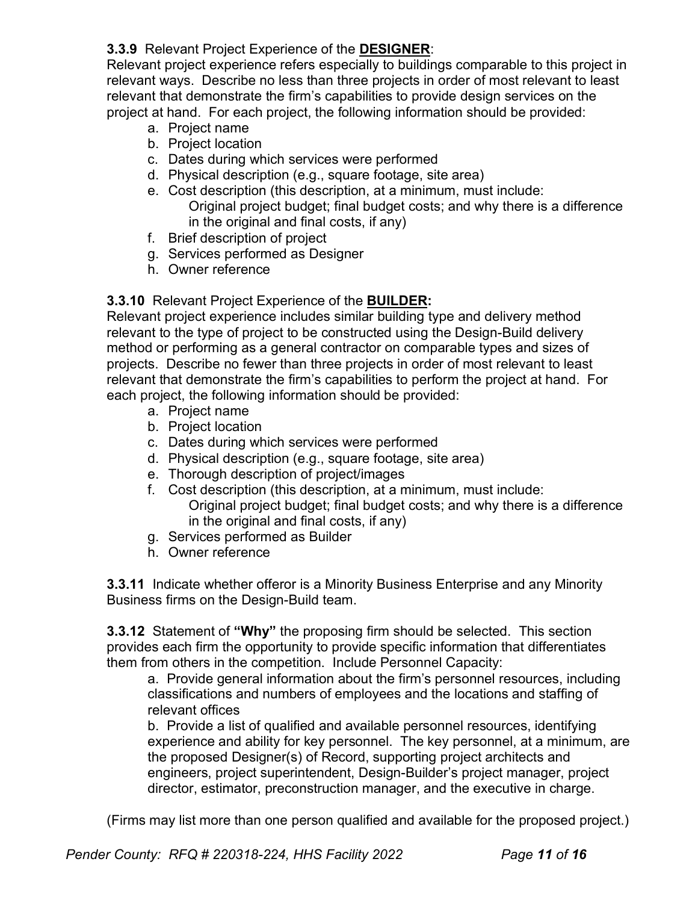# **3.3.9** Relevant Project Experience of the **DESIGNER**:

Relevant project experience refers especially to buildings comparable to this project in relevant ways. Describe no less than three projects in order of most relevant to least relevant that demonstrate the firm's capabilities to provide design services on the project at hand. For each project, the following information should be provided:

- a. Project name
- b. Project location
- c. Dates during which services were performed
- d. Physical description (e.g., square footage, site area)
- e. Cost description (this description, at a minimum, must include: Original project budget; final budget costs; and why there is a difference in the original and final costs, if any)
- f. Brief description of project
- g. Services performed as Designer
- h. Owner reference

### **3.3.10** Relevant Project Experience of the **BUILDER:**

Relevant project experience includes similar building type and delivery method relevant to the type of project to be constructed using the Design-Build delivery method or performing as a general contractor on comparable types and sizes of projects. Describe no fewer than three projects in order of most relevant to least relevant that demonstrate the firm's capabilities to perform the project at hand. For each project, the following information should be provided:

- a. Project name
- b. Project location
- c. Dates during which services were performed
- d. Physical description (e.g., square footage, site area)
- e. Thorough description of project/images
- f. Cost description (this description, at a minimum, must include: Original project budget; final budget costs; and why there is a difference in the original and final costs, if any)
- g. Services performed as Builder
- h. Owner reference

**3.3.11** Indicate whether offeror is a Minority Business Enterprise and any Minority Business firms on the Design-Build team.

**3.3.12** Statement of **"Why"** the proposing firm should be selected. This section provides each firm the opportunity to provide specific information that differentiates them from others in the competition. Include Personnel Capacity:

a. Provide general information about the firm's personnel resources, including classifications and numbers of employees and the locations and staffing of relevant offices

b. Provide a list of qualified and available personnel resources, identifying experience and ability for key personnel. The key personnel, at a minimum, are the proposed Designer(s) of Record, supporting project architects and engineers, project superintendent, Design-Builder's project manager, project director, estimator, preconstruction manager, and the executive in charge.

(Firms may list more than one person qualified and available for the proposed project.)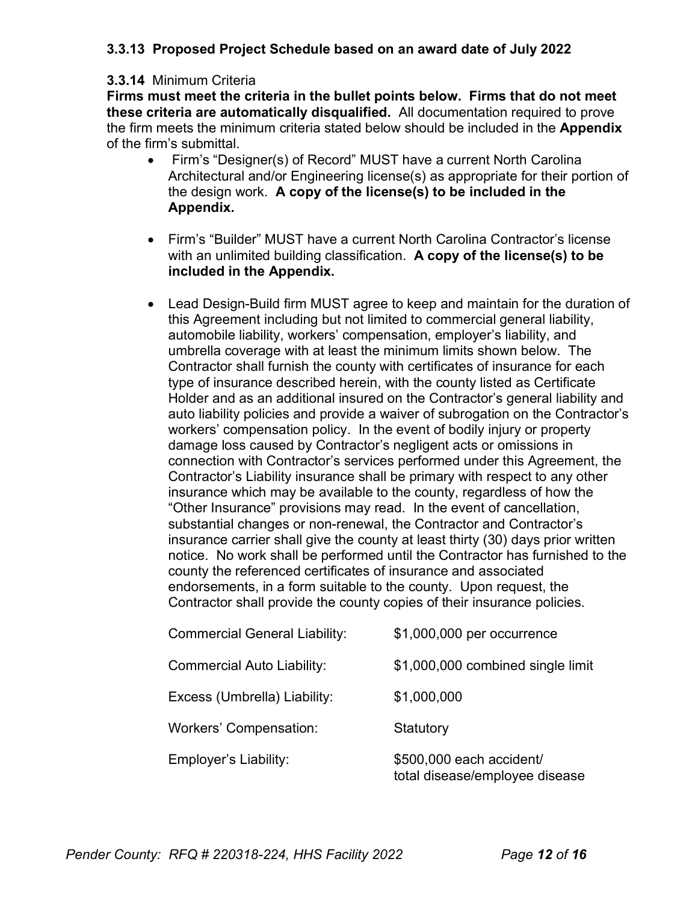# **3.3.13 Proposed Project Schedule based on an award date of July 2022**

#### **3.3.14** Minimum Criteria

**Firms must meet the criteria in the bullet points below. Firms that do not meet these criteria are automatically disqualified.** All documentation required to prove the firm meets the minimum criteria stated below should be included in the **Appendix** of the firm's submittal.

- Firm's "Designer(s) of Record" MUST have a current North Carolina Architectural and/or Engineering license(s) as appropriate for their portion of the design work. **A copy of the license(s) to be included in the Appendix.**
- Firm's "Builder" MUST have a current North Carolina Contractor's license with an unlimited building classification. **A copy of the license(s) to be included in the Appendix.**
- Lead Design-Build firm MUST agree to keep and maintain for the duration of this Agreement including but not limited to commercial general liability, automobile liability, workers' compensation, employer's liability, and umbrella coverage with at least the minimum limits shown below. The Contractor shall furnish the county with certificates of insurance for each type of insurance described herein, with the county listed as Certificate Holder and as an additional insured on the Contractor's general liability and auto liability policies and provide a waiver of subrogation on the Contractor's workers' compensation policy. In the event of bodily injury or property damage loss caused by Contractor's negligent acts or omissions in connection with Contractor's services performed under this Agreement, the Contractor's Liability insurance shall be primary with respect to any other insurance which may be available to the county, regardless of how the "Other Insurance" provisions may read. In the event of cancellation, substantial changes or non-renewal, the Contractor and Contractor's insurance carrier shall give the county at least thirty (30) days prior written notice. No work shall be performed until the Contractor has furnished to the county the referenced certificates of insurance and associated endorsements, in a form suitable to the county. Upon request, the Contractor shall provide the county copies of their insurance policies.

| <b>Commercial General Liability:</b> | \$1,000,000 per occurrence                                 |
|--------------------------------------|------------------------------------------------------------|
| Commercial Auto Liability:           | \$1,000,000 combined single limit                          |
| Excess (Umbrella) Liability:         | \$1,000,000                                                |
| <b>Workers' Compensation:</b>        | Statutory                                                  |
| Employer's Liability:                | \$500,000 each accident/<br>total disease/employee disease |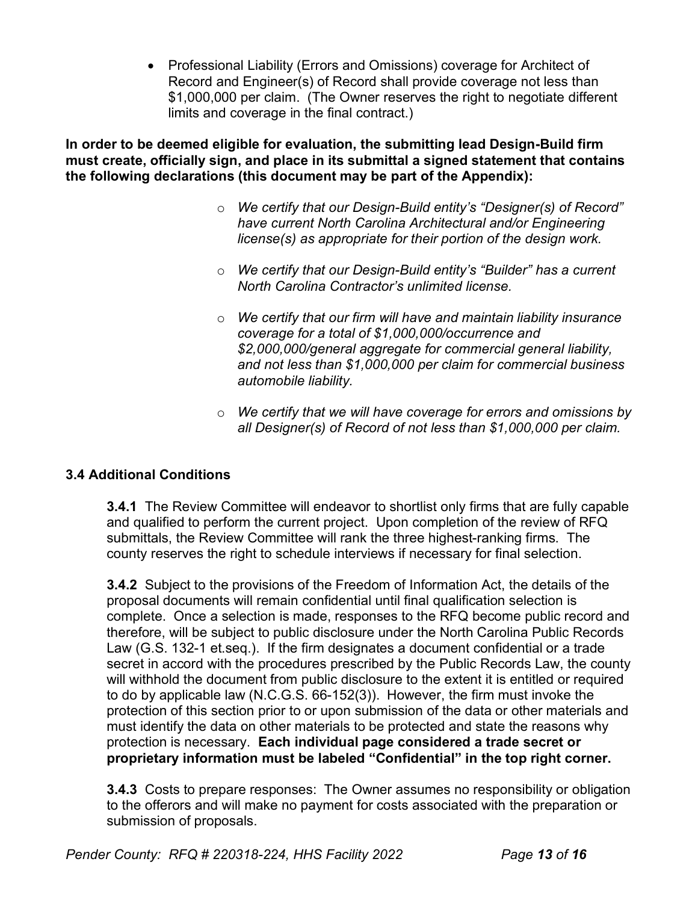• Professional Liability (Errors and Omissions) coverage for Architect of Record and Engineer(s) of Record shall provide coverage not less than \$1,000,000 per claim. (The Owner reserves the right to negotiate different limits and coverage in the final contract.)

**In order to be deemed eligible for evaluation, the submitting lead Design-Build firm must create, officially sign, and place in its submittal a signed statement that contains the following declarations (this document may be part of the Appendix):**

- o *We certify that our Design-Build entity's "Designer(s) of Record" have current North Carolina Architectural and/or Engineering license(s) as appropriate for their portion of the design work.*
- o *We certify that our Design-Build entity's "Builder" has a current North Carolina Contractor's unlimited license.*
- o *We certify that our firm will have and maintain liability insurance coverage for a total of \$1,000,000/occurrence and \$2,000,000/general aggregate for commercial general liability, and not less than \$1,000,000 per claim for commercial business automobile liability.*
- o *We certify that we will have coverage for errors and omissions by all Designer(s) of Record of not less than \$1,000,000 per claim.*

# **3.4 Additional Conditions**

**3.4.1** The Review Committee will endeavor to shortlist only firms that are fully capable and qualified to perform the current project. Upon completion of the review of RFQ submittals, the Review Committee will rank the three highest-ranking firms. The county reserves the right to schedule interviews if necessary for final selection.

**3.4.2** Subject to the provisions of the Freedom of Information Act, the details of the proposal documents will remain confidential until final qualification selection is complete. Once a selection is made, responses to the RFQ become public record and therefore, will be subject to public disclosure under the North Carolina Public Records Law (G.S. 132-1 et.seq.). If the firm designates a document confidential or a trade secret in accord with the procedures prescribed by the Public Records Law, the county will withhold the document from public disclosure to the extent it is entitled or required to do by applicable law (N.C.G.S. 66-152(3)). However, the firm must invoke the protection of this section prior to or upon submission of the data or other materials and must identify the data on other materials to be protected and state the reasons why protection is necessary. **Each individual page considered a trade secret or proprietary information must be labeled "Confidential" in the top right corner.**

**3.4.3** Costs to prepare responses: The Owner assumes no responsibility or obligation to the offerors and will make no payment for costs associated with the preparation or submission of proposals.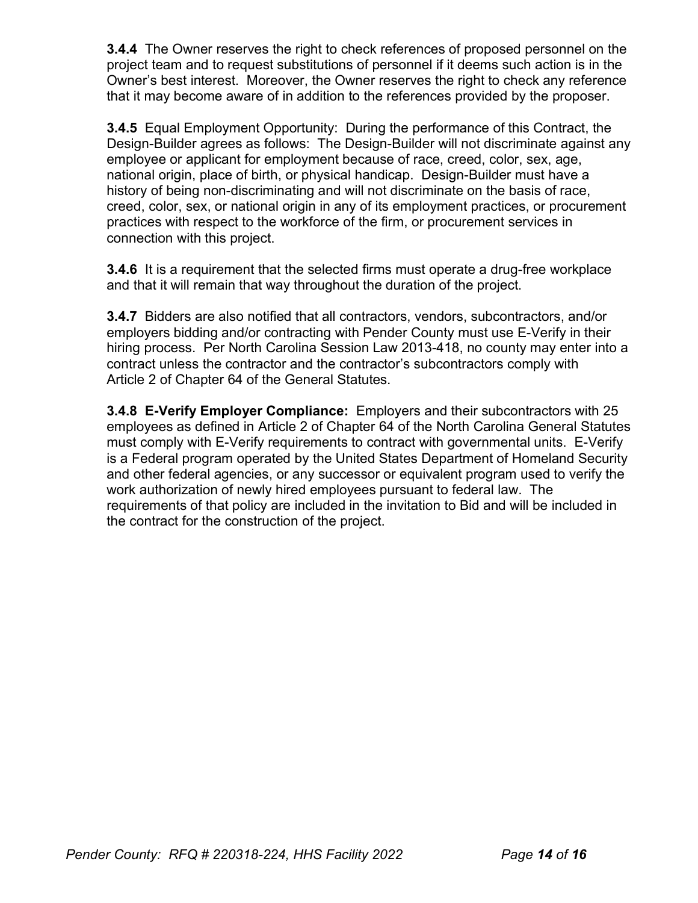**3.4.4** The Owner reserves the right to check references of proposed personnel on the project team and to request substitutions of personnel if it deems such action is in the Owner's best interest. Moreover, the Owner reserves the right to check any reference that it may become aware of in addition to the references provided by the proposer.

**3.4.5** Equal Employment Opportunity: During the performance of this Contract, the Design-Builder agrees as follows: The Design-Builder will not discriminate against any employee or applicant for employment because of race, creed, color, sex, age, national origin, place of birth, or physical handicap. Design-Builder must have a history of being non-discriminating and will not discriminate on the basis of race, creed, color, sex, or national origin in any of its employment practices, or procurement practices with respect to the workforce of the firm, or procurement services in connection with this project.

**3.4.6** It is a requirement that the selected firms must operate a drug-free workplace and that it will remain that way throughout the duration of the project.

**3.4.7** Bidders are also notified that all contractors, vendors, subcontractors, and/or employers bidding and/or contracting with Pender County must use E-Verify in their hiring process. Per North Carolina Session Law 2013-418, no county may enter into a contract unless the contractor and the contractor's subcontractors comply with Article 2 of Chapter 64 of the General Statutes.

**3.4.8 E-Verify Employer Compliance:** Employers and their subcontractors with 25 employees as defined in Article 2 of Chapter 64 of the North Carolina General Statutes must comply with E-Verify requirements to contract with governmental units. E-Verify is a Federal program operated by the United States Department of Homeland Security and other federal agencies, or any successor or equivalent program used to verify the work authorization of newly hired employees pursuant to federal law. The requirements of that policy are included in the invitation to Bid and will be included in the contract for the construction of the project.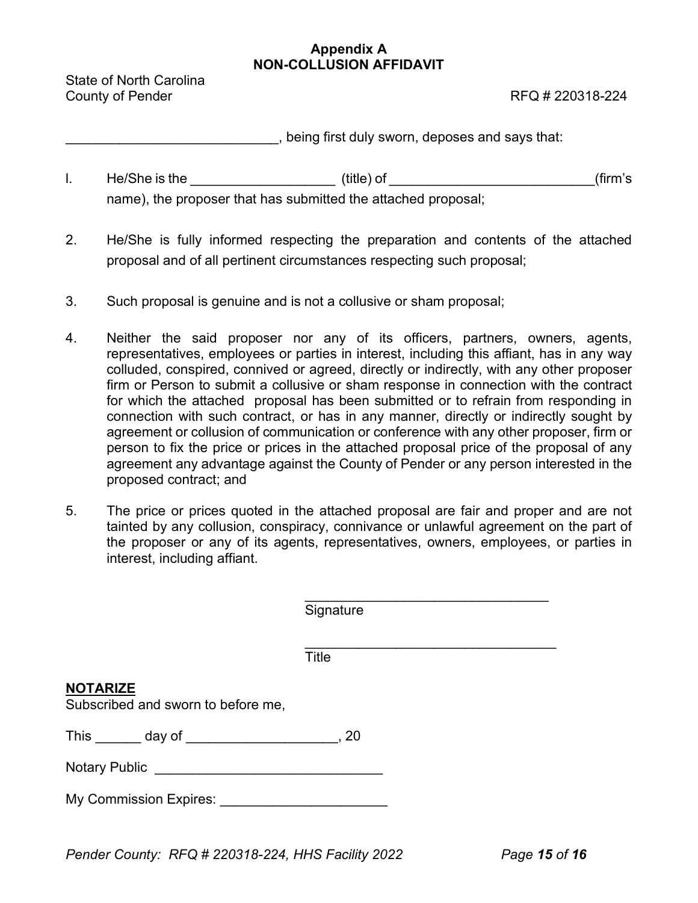#### **Appendix A NON-COLLUSION AFFIDAVIT**

State of North Carolina County of Pender **RFQ** # 220318-224

\_\_\_\_\_\_\_\_\_\_\_\_\_\_\_\_\_\_\_\_\_\_\_\_\_\_\_\_, being first duly sworn, deposes and says that:

- l. He/She is the \_\_\_\_\_\_\_\_\_\_\_\_\_\_\_\_\_\_\_ (title) of \_\_\_\_\_\_\_\_\_\_\_\_\_\_\_\_\_\_\_\_\_\_\_\_\_\_\_(firm's name), the proposer that has submitted the attached proposal;
- 2. He/She is fully informed respecting the preparation and contents of the attached proposal and of all pertinent circumstances respecting such proposal;
- 3. Such proposal is genuine and is not a collusive or sham proposal;
- 4. Neither the said proposer nor any of its officers, partners, owners, agents, representatives, employees or parties in interest, including this affiant, has in any way colluded, conspired, connived or agreed, directly or indirectly, with any other proposer firm or Person to submit a collusive or sham response in connection with the contract for which the attached proposal has been submitted or to refrain from responding in connection with such contract, or has in any manner, directly or indirectly sought by agreement or collusion of communication or conference with any other proposer, firm or person to fix the price or prices in the attached proposal price of the proposal of any agreement any advantage against the County of Pender or any person interested in the proposed contract; and
- 5. The price or prices quoted in the attached proposal are fair and proper and are not tainted by any collusion, conspiracy, connivance or unlawful agreement on the part of the proposer or any of its agents, representatives, owners, employees, or parties in interest, including affiant.

|                                                       | Signature |
|-------------------------------------------------------|-----------|
|                                                       | Title     |
| <u>NOTARIZE</u><br>Subscribed and sworn to before me, |           |
| This ______ day of ____________________               | , 20      |
| Notary Public _______________________________         |           |
| My Commission Expires: ___                            |           |